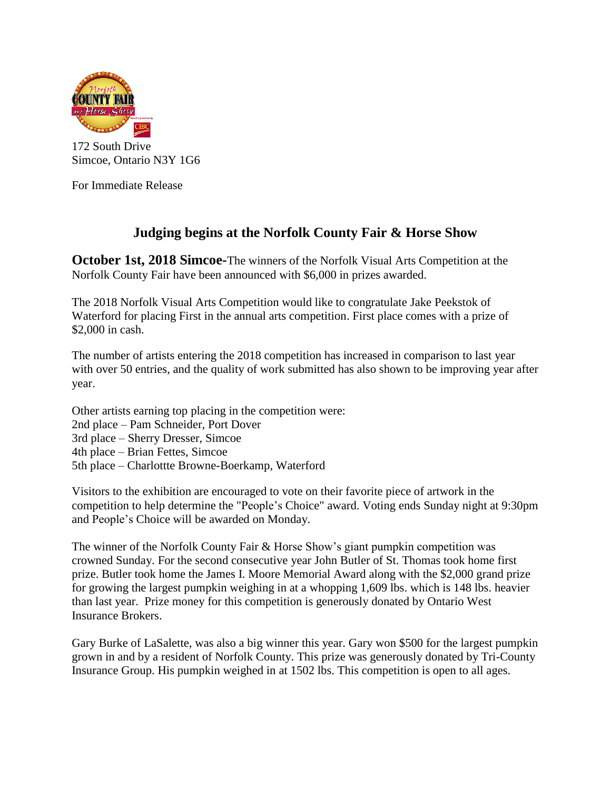

172 South Drive Simcoe, Ontario N3Y 1G6

For Immediate Release

## **Judging begins at the Norfolk County Fair & Horse Show**

**October 1st, 2018 Simcoe-**The winners of the Norfolk Visual Arts Competition at the Norfolk County Fair have been announced with \$6,000 in prizes awarded.

The 2018 Norfolk Visual Arts Competition would like to congratulate Jake Peekstok of Waterford for placing First in the annual arts competition. First place comes with a prize of \$2,000 in cash.

The number of artists entering the 2018 competition has increased in comparison to last year with over 50 entries, and the quality of work submitted has also shown to be improving year after year.

Other artists earning top placing in the competition were:

- 2nd place Pam Schneider, Port Dover
- 3rd place Sherry Dresser, Simcoe
- 4th place Brian Fettes, Simcoe
- 5th place Charlottte Browne-Boerkamp, Waterford

Visitors to the exhibition are encouraged to vote on their favorite piece of artwork in the competition to help determine the "People's Choice" award. Voting ends Sunday night at 9:30pm and People's Choice will be awarded on Monday.

The winner of the Norfolk County Fair & Horse Show's giant pumpkin competition was crowned Sunday. For the second consecutive year John Butler of St. Thomas took home first prize. Butler took home the James I. Moore Memorial Award along with the \$2,000 grand prize for growing the largest pumpkin weighing in at a whopping 1,609 lbs. which is 148 lbs. heavier than last year. Prize money for this competition is generously donated by Ontario West Insurance Brokers.

Gary Burke of LaSalette, was also a big winner this year. Gary won \$500 for the largest pumpkin grown in and by a resident of Norfolk County. This prize was generously donated by Tri-County Insurance Group. His pumpkin weighed in at 1502 lbs. This competition is open to all ages.